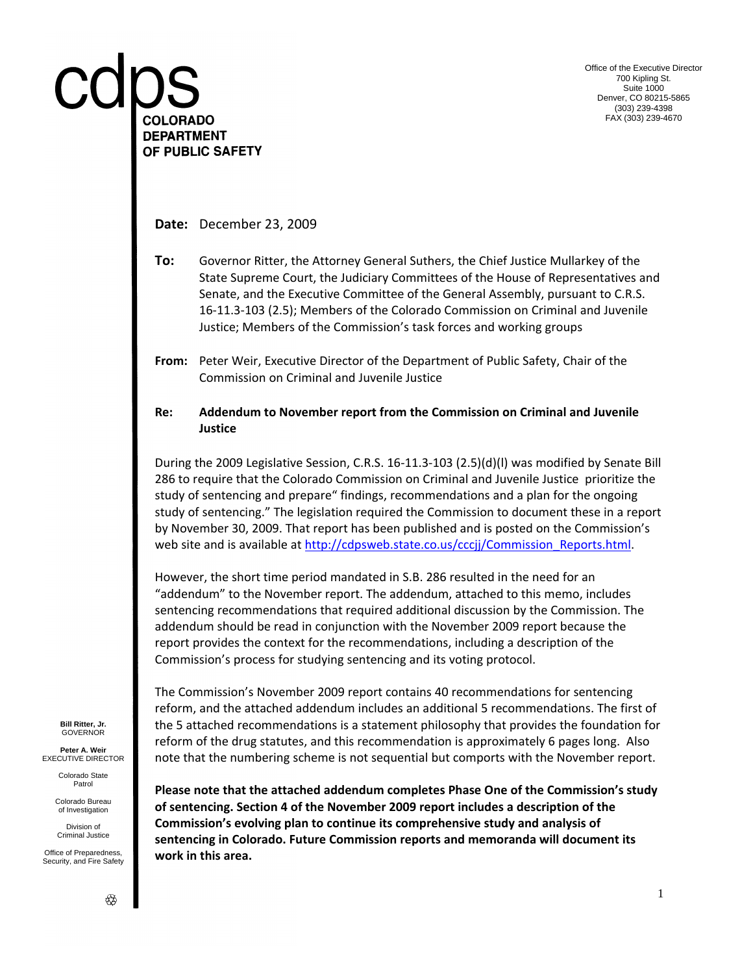COLORADO **DEPARTMENT** OF PUBLIC SAFETY

**Date:** December 23, 2009

**To:** Governor Ritter, the Attorney General Suthers, the Chief Justice Mullarkey of the State Supreme Court, the Judiciary Committees of the House of Representatives and Senate, and the Executive Committee of the General Assembly, pursuant to C.R.S. 16-11.3-103 (2.5); Members of the Colorado Commission on Criminal and Juvenile Justice; Members of the Commission's task forces and working groups

**From:** Peter Weir, Executive Director of the Department of Public Safety, Chair of the Commission on Criminal and Juvenile Justice

#### **Re: Addendum to November report from the Commission on Criminal and Juvenile Justice**

During the 2009 Legislative Session, C.R.S. 16-11.3-103 (2.5)(d)(l) was modified by Senate Bill 286 to require that the Colorado Commission on Criminal and Juvenile Justice prioritize the study of sentencing and prepare" findings, recommendations and a plan for the ongoing study of sentencing." The legislation required the Commission to document these in a report by November 30, 2009. That report has been published and is posted on the Commission's web site and is available at [http://cdpsweb.state.co.us/cccjj/Commission\\_Reports.html.](http://cdpsweb.state.co.us/cccjj/Commission_Reports.html)

However, the short time period mandated in S.B. 286 resulted in the need for an "addendum" to the November report. The addendum, attached to this memo, includes sentencing recommendations that required additional discussion by the Commission. The addendum should be read in conjunction with the November 2009 report because the report provides the context for the recommendations, including a description of the Commission's process for studying sentencing and its voting protocol.

The Commission's November 2009 report contains 40 recommendations for sentencing reform, and the attached addendum includes an additional 5 recommendations. The first of the 5 attached recommendations is a statement philosophy that provides the foundation for reform of the drug statutes, and this recommendation is approximately 6 pages long. Also note that the numbering scheme is not sequential but comports with the November report.

**Bill Ritter, Jr.** GOVERNOR

**Peter A. Weir** EXECUTIVE DIRECTOR

> Colorado State Patrol

Colorado Bureau of Investigation

Division of Criminal Justice

Office of Preparedness Security, and Fire Safety **Please note that the attached addendum completes Phase One of the Commission's study of sentencing. Section 4 of the November 2009 report includes a description of the Commission's evolving plan to continue its comprehensive study and analysis of sentencing in Colorado. Future Commission reports and memoranda will document its work in this area.**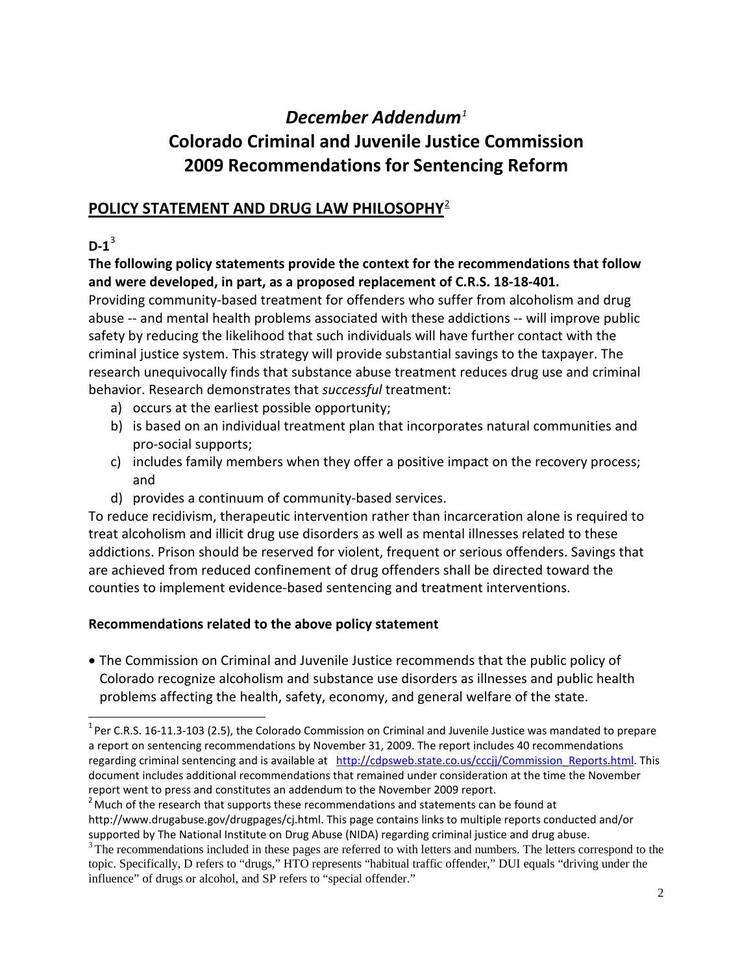# *December Addendum[1](#page-2-0)* **Colorado Criminal and Juvenile Justice Commission 2009 Recommendations for Sentencing Reform**

# **POLICY STATEMENT AND DRUG LAW PHILOSOPHY**[2](#page-2-1)

## $D-1^3$  $D-1^3$

## **The following policy statements provide the context for the recommendations that follow and were developed, in part, as a proposed replacement of C.R.S. 18-18-401.**

Providing community-based treatment for offenders who suffer from alcoholism and drug abuse -- and mental health problems associated with these addictions -- will improve public safety by reducing the likelihood that such individuals will have further contact with the criminal justice system. This strategy will provide substantial savings to the taxpayer. The research unequivocally finds that substance abuse treatment reduces drug use and criminal behavior. Research demonstrates that *successful* treatment:

- a) occurs at the earliest possible opportunity;
- b) is based on an individual treatment plan that incorporates natural communities and pro-social supports;
- c) includes family members when they offer a positive impact on the recovery process; and
- d) provides a continuum of community-based services.

To reduce recidivism, therapeutic intervention rather than incarceration alone is required to treat alcoholism and illicit drug use disorders as well as mental illnesses related to these addictions. Prison should be reserved for violent, frequent or serious offenders. Savings that are achieved from reduced confinement of drug offenders shall be directed toward the counties to implement evidence-based sentencing and treatment interventions.

## **Recommendations related to the above policy statement**

• The Commission on Criminal and Juvenile Justice recommends that the public policy of Colorado recognize alcoholism and substance use disorders as illnesses and public health problems affecting the health, safety, economy, and general welfare of the state.

<span id="page-2-0"></span><sup>&</sup>lt;u>nessen CR.S. 16-11.3-103 (2.5),</u> the Colorado Commission on Criminal and Juvenile Justice was mandated to prepare<br><sup>1</sup> Per C.R.S. 16-11.3-103 (2.5), the Colorado Commission on Criminal and Juvenile Justice was mandated to a report on sentencing recommendations by November 31, 2009. The report includes 40 recommendations regarding criminal sentencing and is available at [http://cdpsweb.state.co.us/cccjj/Commission\\_Reports.html.](http://cdpsweb.state.co.us/cccjj/Commission_Reports.html) This document includes additional recommendations that remained under consideration at the time the November report went to press and constitutes an addendum to the November 2009 report.

<span id="page-2-1"></span> $2$  Much of the research that supports these recommendations and statements can be found at http://www.drugabuse.gov/drugpages/cj.html. This page contains links to multiple reports conducted and/or

supported by The National Institute on Drug Abuse (NIDA) regarding criminal justice and drug abuse.

<span id="page-2-2"></span><sup>&</sup>lt;sup>3</sup> The recommendations included in these pages are referred to with letters and numbers. The letters correspond to the topic. Specifically, D refers to "drugs," HTO represents "habitual traffic offender," DUI equals "driving under the influence" of drugs or alcohol, and SP refers to "special offender."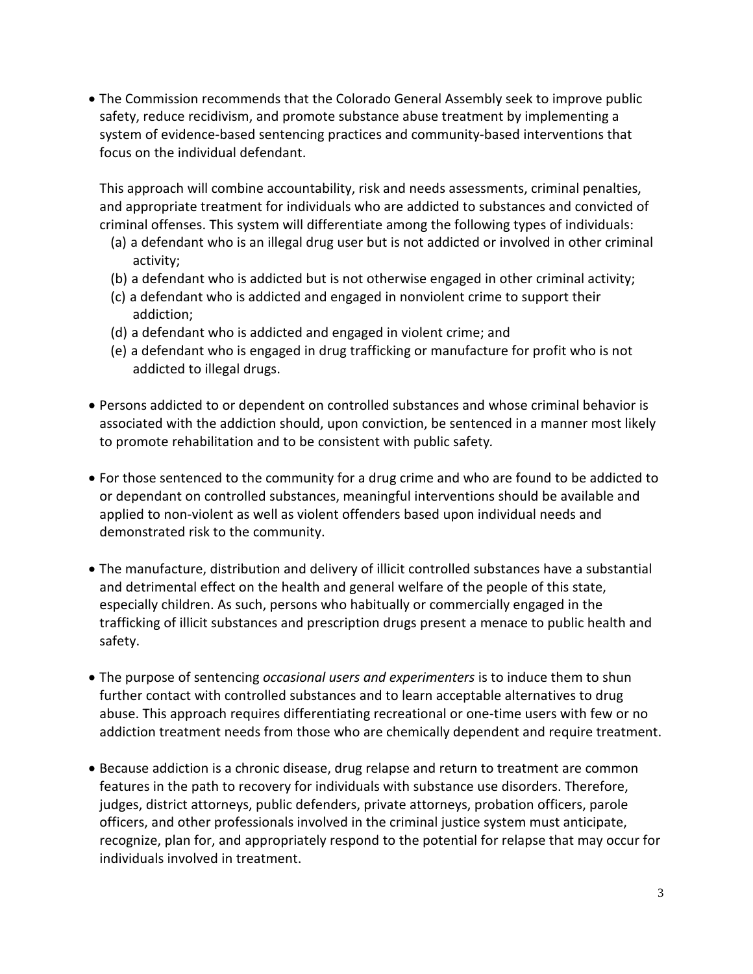• The Commission recommends that the Colorado General Assembly seek to improve public safety, reduce recidivism, and promote substance abuse treatment by implementing a system of evidence-based sentencing practices and community-based interventions that focus on the individual defendant.

This approach will combine accountability, risk and needs assessments, criminal penalties, and appropriate treatment for individuals who are addicted to substances and convicted of criminal offenses. This system will differentiate among the following types of individuals:

- (a) a defendant who is an illegal drug user but is not addicted or involved in other criminal activity;
- (b) a defendant who is addicted but is not otherwise engaged in other criminal activity;
- (c) a defendant who is addicted and engaged in nonviolent crime to support their addiction;
- (d) a defendant who is addicted and engaged in violent crime; and
- (e) a defendant who is engaged in drug trafficking or manufacture for profit who is not addicted to illegal drugs.
- Persons addicted to or dependent on controlled substances and whose criminal behavior is associated with the addiction should, upon conviction, be sentenced in a manner most likely to promote rehabilitation and to be consistent with public safety*.*
- For those sentenced to the community for a drug crime and who are found to be addicted to or dependant on controlled substances, meaningful interventions should be available and applied to non-violent as well as violent offenders based upon individual needs and demonstrated risk to the community.
- The manufacture, distribution and delivery of illicit controlled substances have a substantial and detrimental effect on the health and general welfare of the people of this state, especially children. As such, persons who habitually or commercially engaged in the trafficking of illicit substances and prescription drugs present a menace to public health and safety.
- The purpose of sentencing *occasional users and experimenters* is to induce them to shun further contact with controlled substances and to learn acceptable alternatives to drug abuse. This approach requires differentiating recreational or one-time users with few or no addiction treatment needs from those who are chemically dependent and require treatment.
- Because addiction is a chronic disease, drug relapse and return to treatment are common features in the path to recovery for individuals with substance use disorders. Therefore, judges, district attorneys, public defenders, private attorneys, probation officers, parole officers, and other professionals involved in the criminal justice system must anticipate, recognize, plan for, and appropriately respond to the potential for relapse that may occur for individuals involved in treatment.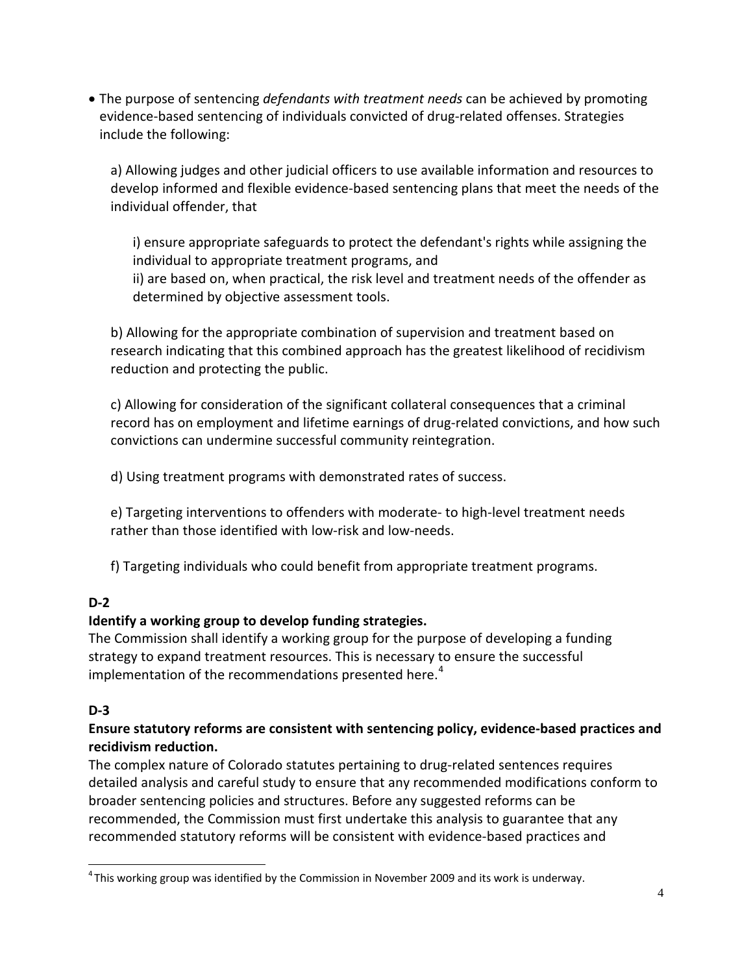• The purpose of sentencing *defendants with treatment needs* can be achieved by promoting evidence-based sentencing of individuals convicted of drug-related offenses. Strategies include the following:

a) Allowing judges and other judicial officers to use available information and resources to develop informed and flexible evidence-based sentencing plans that meet the needs of the individual offender, that

i) ensure appropriate safeguards to protect the defendant's rights while assigning the individual to appropriate treatment programs, and ii) are based on, when practical, the risk level and treatment needs of the offender as determined by objective assessment tools.

b) Allowing for the appropriate combination of supervision and treatment based on research indicating that this combined approach has the greatest likelihood of recidivism reduction and protecting the public.

c) Allowing for consideration of the significant collateral consequences that a criminal record has on employment and lifetime earnings of drug-related convictions, and how such convictions can undermine successful community reintegration.

d) Using treatment programs with demonstrated rates of success.

e) Targeting interventions to offenders with moderate- to high-level treatment needs rather than those identified with low-risk and low-needs.

f) Targeting individuals who could benefit from appropriate treatment programs.

#### **D-2**

#### **Identify a working group to develop funding strategies.**

The Commission shall identify a working group for the purpose of developing a funding strategy to expand treatment resources. This is necessary to ensure the successful implementation of the recommendations presented here.<sup>[4](#page-4-0)</sup>

#### **D-3**

#### **Ensure statutory reforms are consistent with sentencing policy, evidence-based practices and recidivism reduction.**

The complex nature of Colorado statutes pertaining to drug-related sentences requires detailed analysis and careful study to ensure that any recommended modifications conform to broader sentencing policies and structures. Before any suggested reforms can be recommended, the Commission must first undertake this analysis to guarantee that any recommended statutory reforms will be consistent with evidence-based practices and

<span id="page-4-0"></span>4 This working group was identified by the Commission in November 2009 and its work is underway.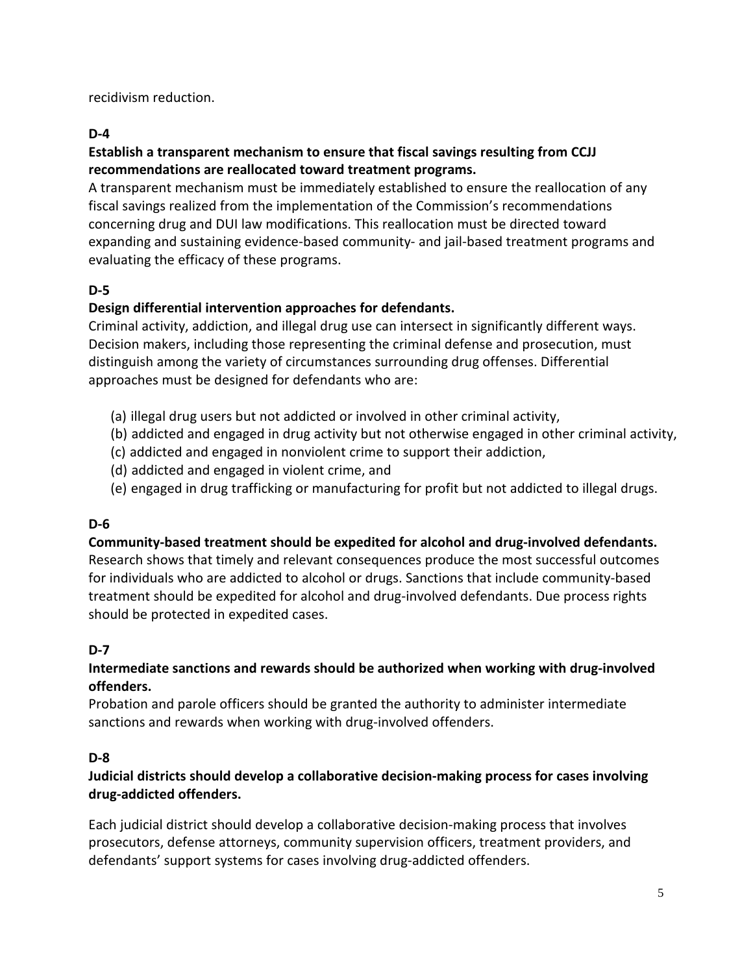recidivism reduction.

#### **D-4**

#### **Establish a transparent mechanism to ensure that fiscal savings resulting from CCJJ recommendations are reallocated toward treatment programs.**

A transparent mechanism must be immediately established to ensure the reallocation of any fiscal savings realized from the implementation of the Commission's recommendations concerning drug and DUI law modifications. This reallocation must be directed toward expanding and sustaining evidence-based community- and jail-based treatment programs and evaluating the efficacy of these programs.

## **D-5**

## **Design differential intervention approaches for defendants.**

Criminal activity, addiction, and illegal drug use can intersect in significantly different ways. Decision makers, including those representing the criminal defense and prosecution, must distinguish among the variety of circumstances surrounding drug offenses. Differential approaches must be designed for defendants who are:

- (a) illegal drug users but not addicted or involved in other criminal activity,
- (b) addicted and engaged in drug activity but not otherwise engaged in other criminal activity,
- (c) addicted and engaged in nonviolent crime to support their addiction,
- (d) addicted and engaged in violent crime, and
- (e) engaged in drug trafficking or manufacturing for profit but not addicted to illegal drugs.

## **D-6**

# **Community-based treatment should be expedited for alcohol and drug-involved defendants.**

Research shows that timely and relevant consequences produce the most successful outcomes for individuals who are addicted to alcohol or drugs. Sanctions that include community-based treatment should be expedited for alcohol and drug-involved defendants. Due process rights should be protected in expedited cases.

## **D-7**

#### **Intermediate sanctions and rewards should be authorized when working with drug-involved offenders.**

Probation and parole officers should be granted the authority to administer intermediate sanctions and rewards when working with drug-involved offenders.

#### **D-8**

#### **Judicial districts should develop a collaborative decision-making process for cases involving drug-addicted offenders.**

Each judicial district should develop a collaborative decision-making process that involves prosecutors, defense attorneys, community supervision officers, treatment providers, and defendants' support systems for cases involving drug-addicted offenders.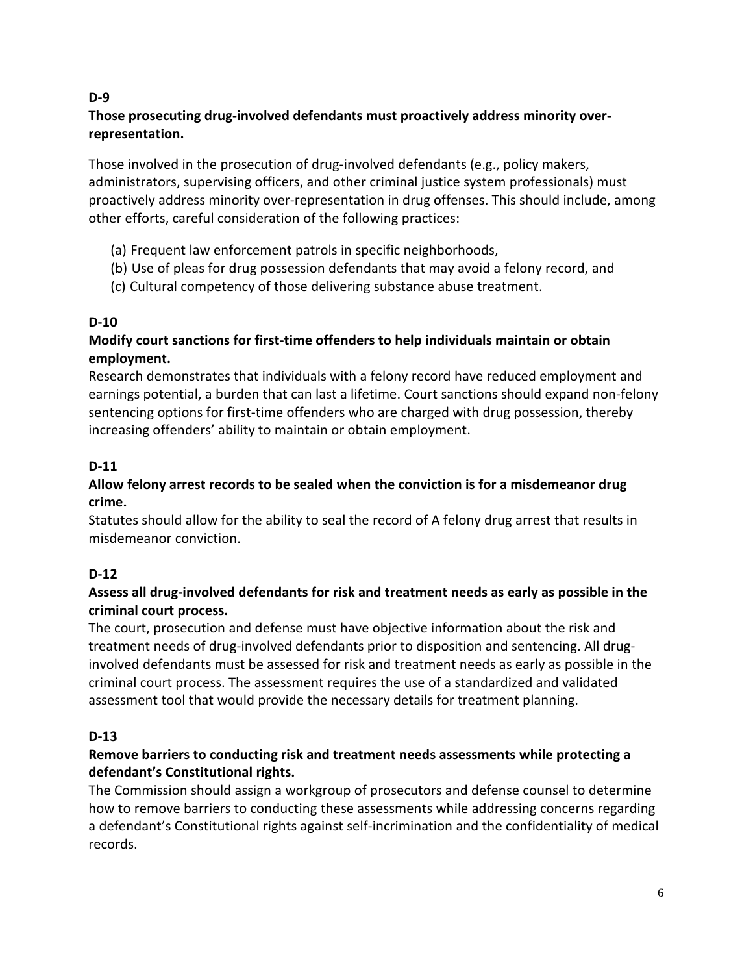#### **D-9**

#### **Those prosecuting drug-involved defendants must proactively address minority overrepresentation.**

Those involved in the prosecution of drug-involved defendants (e.g., policy makers, administrators, supervising officers, and other criminal justice system professionals) must proactively address minority over-representation in drug offenses. This should include, among other efforts, careful consideration of the following practices:

- (a) Frequent law enforcement patrols in specific neighborhoods,
- (b) Use of pleas for drug possession defendants that may avoid a felony record, and
- (c) Cultural competency of those delivering substance abuse treatment.

## **D-10**

#### **Modify court sanctions for first-time offenders to help individuals maintain or obtain employment.**

Research demonstrates that individuals with a felony record have reduced employment and earnings potential, a burden that can last a lifetime. Court sanctions should expand non-felony sentencing options for first-time offenders who are charged with drug possession, thereby increasing offenders' ability to maintain or obtain employment.

## **D-11**

#### **Allow felony arrest records to be sealed when the conviction is for a misdemeanor drug crime.**

Statutes should allow for the ability to seal the record of A felony drug arrest that results in misdemeanor conviction.

## **D-12**

#### **Assess all drug-involved defendants for risk and treatment needs as early as possible in the criminal court process.**

The court, prosecution and defense must have objective information about the risk and treatment needs of drug-involved defendants prior to disposition and sentencing. All druginvolved defendants must be assessed for risk and treatment needs as early as possible in the criminal court process. The assessment requires the use of a standardized and validated assessment tool that would provide the necessary details for treatment planning.

#### **D-13**

#### **Remove barriers to conducting risk and treatment needs assessments while protecting a defendant's Constitutional rights.**

The Commission should assign a workgroup of prosecutors and defense counsel to determine how to remove barriers to conducting these assessments while addressing concerns regarding a defendant's Constitutional rights against self-incrimination and the confidentiality of medical records.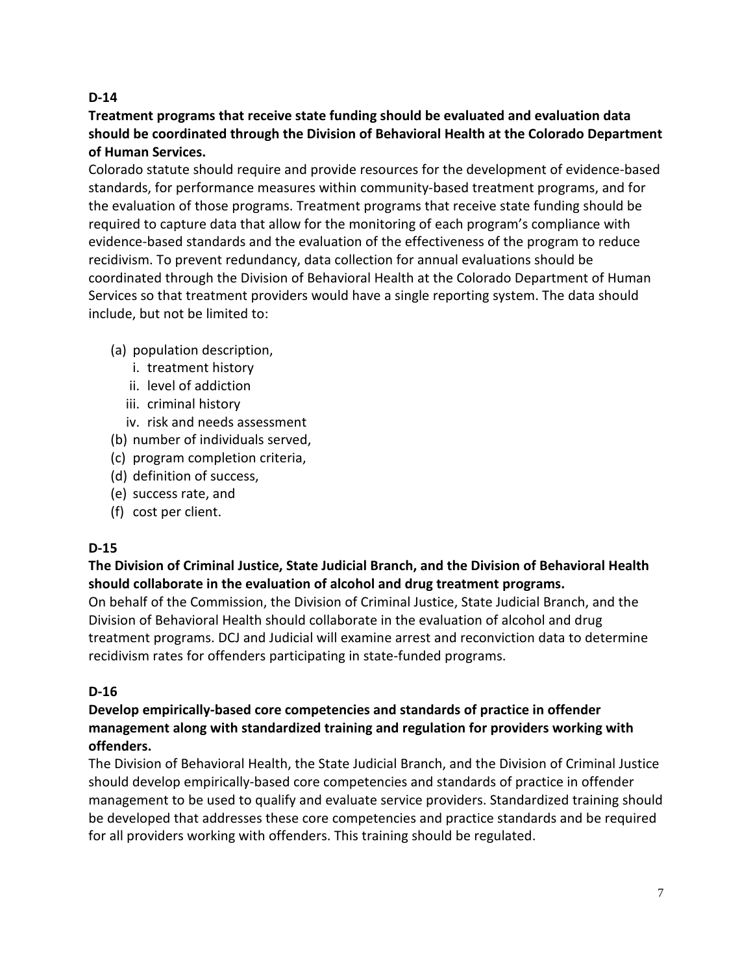#### **D-14**

#### **Treatment programs that receive state funding should be evaluated and evaluation data should be coordinated through the Division of Behavioral Health at the Colorado Department of Human Services.**

Colorado statute should require and provide resources for the development of evidence-based standards, for performance measures within community-based treatment programs, and for the evaluation of those programs. Treatment programs that receive state funding should be required to capture data that allow for the monitoring of each program's compliance with evidence-based standards and the evaluation of the effectiveness of the program to reduce recidivism. To prevent redundancy, data collection for annual evaluations should be coordinated through the Division of Behavioral Health at the Colorado Department of Human Services so that treatment providers would have a single reporting system. The data should include, but not be limited to:

#### (a) population description,

- i. treatment history
- ii. level of addiction
- iii. criminal history
- iv. risk and needs assessment
- (b) number of individuals served,
- (c) program completion criteria,
- (d) definition of success,
- (e) success rate, and
- (f) cost per client.

## **D-15**

## **The Division of Criminal Justice, State Judicial Branch, and the Division of Behavioral Health should collaborate in the evaluation of alcohol and drug treatment programs.**

On behalf of the Commission, the Division of Criminal Justice, State Judicial Branch, and the Division of Behavioral Health should collaborate in the evaluation of alcohol and drug treatment programs. DCJ and Judicial will examine arrest and reconviction data to determine recidivism rates for offenders participating in state-funded programs.

#### **D-16**

#### **Develop empirically-based core competencies and standards of practice in offender management along with standardized training and regulation for providers working with offenders.**

The Division of Behavioral Health, the State Judicial Branch, and the Division of Criminal Justice should develop empirically-based core competencies and standards of practice in offender management to be used to qualify and evaluate service providers. Standardized training should be developed that addresses these core competencies and practice standards and be required for all providers working with offenders. This training should be regulated.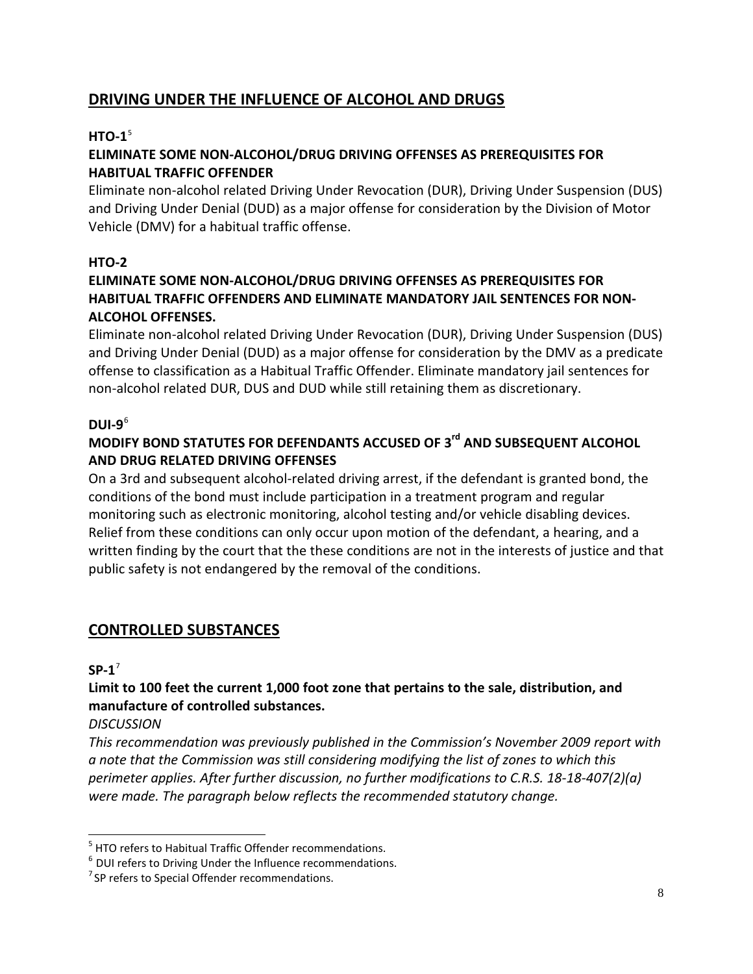# **DRIVING UNDER THE INFLUENCE OF ALCOHOL AND DRUGS**

#### **HTO-1**[5](#page-8-0)

#### **ELIMINATE SOME NON-ALCOHOL/DRUG DRIVING OFFENSES AS PREREQUISITES FOR HABITUAL TRAFFIC OFFENDER**

Eliminate non-alcohol related Driving Under Revocation (DUR), Driving Under Suspension (DUS) and Driving Under Denial (DUD) as a major offense for consideration by the Division of Motor Vehicle (DMV) for a habitual traffic offense.

#### **HTO-2**

#### **ELIMINATE SOME NON-ALCOHOL/DRUG DRIVING OFFENSES AS PREREQUISITES FOR HABITUAL TRAFFIC OFFENDERS AND ELIMINATE MANDATORY JAIL SENTENCES FOR NON-ALCOHOL OFFENSES.**

Eliminate non-alcohol related Driving Under Revocation (DUR), Driving Under Suspension (DUS) and Driving Under Denial (DUD) as a major offense for consideration by the DMV as a predicate offense to classification as a Habitual Traffic Offender. Eliminate mandatory jail sentences for non-alcohol related DUR, DUS and DUD while still retaining them as discretionary.

#### **DUI-9**[6](#page-8-1)

## **MODIFY BOND STATUTES FOR DEFENDANTS ACCUSED OF 3rd AND SUBSEQUENT ALCOHOL AND DRUG RELATED DRIVING OFFENSES**

On a 3rd and subsequent alcohol-related driving arrest, if the defendant is granted bond, the conditions of the bond must include participation in a treatment program and regular monitoring such as electronic monitoring, alcohol testing and/or vehicle disabling devices. Relief from these conditions can only occur upon motion of the defendant, a hearing, and a written finding by the court that the these conditions are not in the interests of justice and that public safety is not endangered by the removal of the conditions.

## **CONTROLLED SUBSTANCES**

#### **SP-1**[7](#page-8-2)

## **Limit to 100 feet the current 1,000 foot zone that pertains to the sale, distribution, and manufacture of controlled substances.**

#### *DISCUSSION*

*This recommendation was previously published in the Commission's November 2009 report with a note that the Commission was still considering modifying the list of zones to which this perimeter applies. After further discussion, no further modifications to C.R.S. 18-18-407(2)(a) were made. The paragraph below reflects the recommended statutory change.*

<span id="page-8-0"></span><sup>&</sup>lt;sup>5</sup> HTO refers to Habitual Traffic Offender recommendations.

<span id="page-8-1"></span> $6$  DUI refers to Driving Under the Influence recommendations.

<span id="page-8-2"></span><sup>&</sup>lt;sup>7</sup> SP refers to Special Offender recommendations.